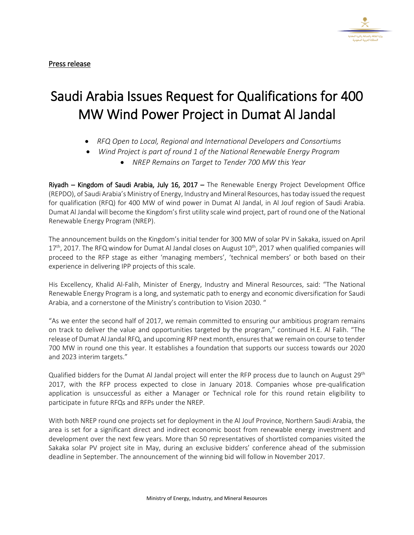

## Saudi Arabia Issues Request for Qualifications for 400 MW Wind Power Project in Dumat Al Jandal

- *RFQ Open to Local, Regional and International Developers and Consortiums*
- *Wind Project is part of round 1 of the National Renewable Energy Program*
	- *NREP Remains on Target to Tender 700 MW this Year*

Riyadh – Kingdom of Saudi Arabia, July 16, 2017 – The Renewable Energy Project Development Office (REPDO), of Saudi Arabia's Ministry of Energy, Industry and Mineral Resources, hastoday issued the request for qualification (RFQ) for 400 MW of wind power in Dumat Al Jandal, in Al Jouf region of Saudi Arabia. Dumat Al Jandal will become the Kingdom's first utility scale wind project, part of round one of the National Renewable Energy Program (NREP).

The announcement builds on the Kingdom's initial tender for 300 MW of solar PV in Sakaka, issued on April 17<sup>th</sup>, 2017. The RFQ window for Dumat Al Jandal closes on August 10<sup>th</sup>, 2017 when qualified companies will proceed to the RFP stage as either 'managing members', 'technical members' or both based on their experience in delivering IPP projects of this scale.

His Excellency, Khalid Al-Falih, Minister of Energy, Industry and Mineral Resources, said: "The National Renewable Energy Program is a long, and systematic path to energy and economic diversification for Saudi Arabia, and a cornerstone of the Ministry's contribution to Vision 2030. "

"As we enter the second half of 2017, we remain committed to ensuring our ambitious program remains on track to deliver the value and opportunities targeted by the program," continued H.E. Al Falih. "The release of Dumat Al Jandal RFQ, and upcoming RFP next month, ensures that we remain on course to tender 700 MW in round one this year. It establishes a foundation that supports our success towards our 2020 and 2023 interim targets."

Qualified bidders for the Dumat Al Jandal project will enter the RFP process due to launch on August 29<sup>th</sup> 2017, with the RFP process expected to close in January 2018. Companies whose pre-qualification application is unsuccessful as either a Manager or Technical role for this round retain eligibility to participate in future RFQs and RFPs under the NREP.

With both NREP round one projects set for deployment in the Al Jouf Province, Northern Saudi Arabia, the area is set for a significant direct and indirect economic boost from renewable energy investment and development over the next few years. More than 50 representatives of shortlisted companies visited the Sakaka solar PV project site in May, during an exclusive bidders' conference ahead of the submission deadline in September. The announcement of the winning bid will follow in November 2017.